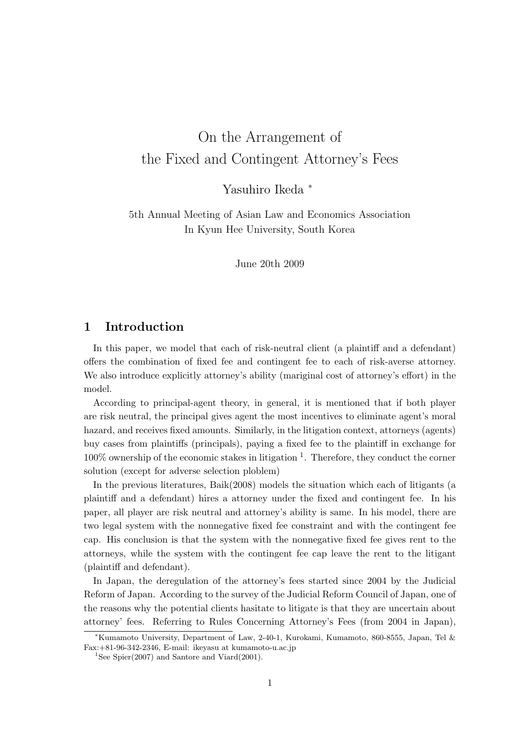# On the Arrangement of the Fixed and Contingent Attorney's Fees

Yasuhiro Ikeda <sup>∗</sup>

5th Annual Meeting of Asian Law and Economics Association In Kyun Hee University, South Korea

June 20th 2009

# 1 Introduction

In this paper, we model that each of risk-neutral client (a plaintiff and a defendant) offers the combination of fixed fee and contingent fee to each of risk-averse attorney. We also introduce explicitly attorney's ability (mariginal cost of attorney's effort) in the model.

According to principal-agent theory, in general, it is mentioned that if both player are risk neutral, the principal gives agent the most incentives to eliminate agent's moral hazard, and receives fixed amounts. Similarly, in the litigation context, attorneys (agents) buy cases from plaintiffs (principals), paying a fixed fee to the plaintiff in exchange for  $100\%$  ownership of the economic stakes in litigation  $<sup>1</sup>$ . Therefore, they conduct the corner</sup> solution (except for adverse selection ploblem)

In the previous literatures, Baik(2008) models the situation which each of litigants (a plaintiff and a defendant) hires a attorney under the fixed and contingent fee. In his paper, all player are risk neutral and attorney's ability is same. In his model, there are two legal system with the nonnegative fixed fee constraint and with the contingent fee cap. His conclusion is that the system with the nonnegative fixed fee gives rent to the attorneys, while the system with the contingent fee cap leave the rent to the litigant (plaintiff and defendant).

In Japan, the deregulation of the attorney's fees started since 2004 by the Judicial Reform of Japan. According to the survey of the Judicial Reform Council of Japan, one of the reasons why the potential clients hasitate to litigate is that they are uncertain about attorney' fees. Referring to Rules Concerning Attorney's Fees (from 2004 in Japan),

<sup>∗</sup>Kumamoto University, Department of Law, 2-40-1, Kurokami, Kumamoto, 860-8555, Japan, Tel & Fax:+81-96-342-2346, E-mail: ikeyasu at kumamoto-u.ac.jp

<sup>&</sup>lt;sup>1</sup>See Spier(2007) and Santore and Viard(2001).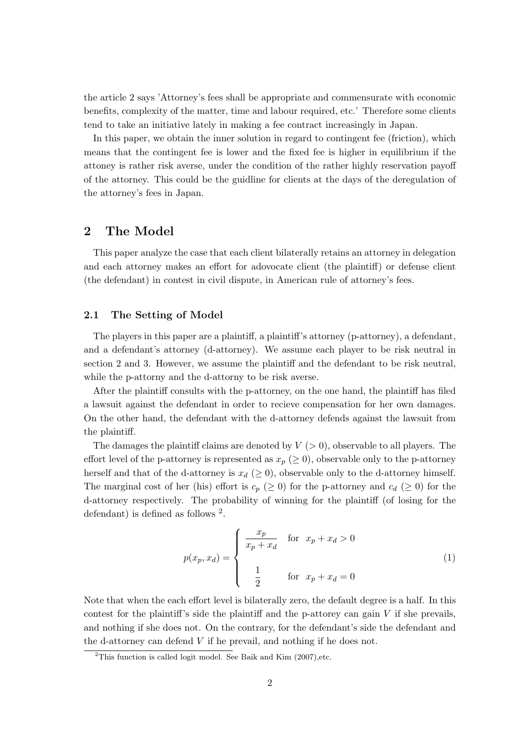the article 2 says 'Attorney's fees shall be appropriate and commensurate with economic benefits, complexity of the matter, time and labour required, etc.' Therefore some clients tend to take an initiative lately in making a fee contract increasingly in Japan.

In this paper, we obtain the inner solution in regard to contingent fee (friction), which means that the contingent fee is lower and the fixed fee is higher in equilibrium if the attoney is rather risk averse, under the condition of the rather highly reservation payoff of the attorney. This could be the guidline for clients at the days of the deregulation of the attorney's fees in Japan.

# 2 The Model

This paper analyze the case that each client bilaterally retains an attorney in delegation and each attorney makes an effort for adovocate client (the plaintiff) or defense client (the defendant) in contest in civil dispute, in American rule of attorney's fees.

### 2.1 The Setting of Model

The players in this paper are a plaintiff, a plaintiff's attorney (p-attorney), a defendant, and a defendant's attorney (d-attorney). We assume each player to be risk neutral in section 2 and 3. However, we assume the plaintiff and the defendant to be risk neutral, while the p-attorny and the d-attorny to be risk averse.

After the plaintiff consults with the p-attorney, on the one hand, the plaintiff has filed a lawsuit against the defendant in order to recieve compensation for her own damages. On the other hand, the defendant with the d-attorney defends against the lawsuit from the plaintiff.

The damages the plaintiff claims are denoted by  $V(z|0)$ , observable to all players. The effort level of the p-attorney is represented as  $x_p \ (\geq 0)$ , observable only to the p-attorney herself and that of the d-attorney is  $x_d$  ( $\geq$  0), observable only to the d-attorney himself. The marginal cost of her (his) effort is  $c_p$  ( $\geq 0$ ) for the p-attorney and  $c_d$  ( $\geq 0$ ) for the d-attorney respectively. The probability of winning for the plaintiff (of losing for the defendant) is defined as follows  $^2$ .

$$
p(x_p, x_d) = \begin{cases} \frac{x_p}{x_p + x_d} & \text{for } x_p + x_d > 0 \\ 1 & \text{for } x_p + x_d = 0 \end{cases}
$$
 (1)

Note that when the each effort level is bilaterally zero, the default degree is a half. In this contest for the plaintiff's side the plaintiff and the p-attorey can gain  $V$  if she prevails, and nothing if she does not. On the contrary, for the defendant's side the defendant and the d-attorney can defend V if he prevail, and nothing if he does not.

<sup>&</sup>lt;sup>2</sup>This function is called logit model. See Baik and Kim  $(2007)$ , etc.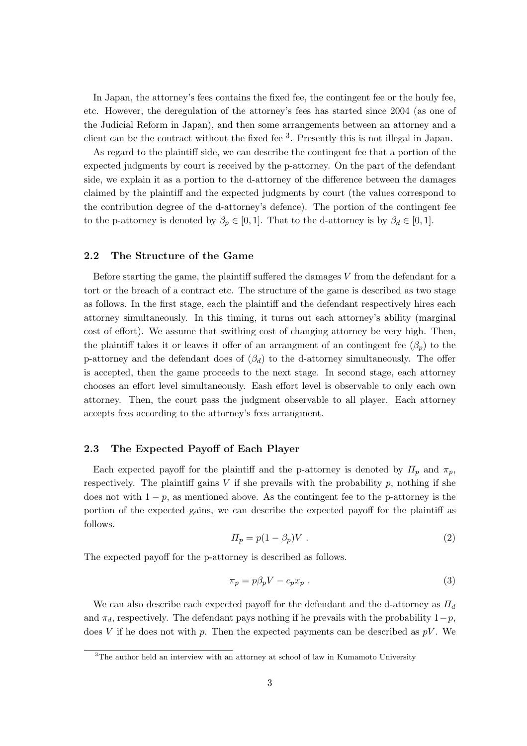In Japan, the attorney's fees contains the fixed fee, the contingent fee or the houly fee, etc. However, the deregulation of the attorney's fees has started since 2004 (as one of the Judicial Reform in Japan), and then some arrangements between an attorney and a client can be the contract without the fixed fee <sup>3</sup> . Presently this is not illegal in Japan.

As regard to the plaintiff side, we can describe the contingent fee that a portion of the expected judgments by court is received by the p-attorney. On the part of the defendant side, we explain it as a portion to the d-attorney of the difference between the damages claimed by the plaintiff and the expected judgments by court (the values correspond to the contribution degree of the d-attorney's defence). The portion of the contingent fee to the p-attorney is denoted by  $\beta_p \in [0,1]$ . That to the d-attorney is by  $\beta_d \in [0,1]$ .

### 2.2 The Structure of the Game

Before starting the game, the plaintiff suffered the damages V from the defendant for a tort or the breach of a contract etc. The structure of the game is described as two stage as follows. In the first stage, each the plaintiff and the defendant respectively hires each attorney simultaneously. In this timing, it turns out each attorney's ability (marginal cost of effort). We assume that swithing cost of changing attorney be very high. Then, the plaintiff takes it or leaves it offer of an arrangment of an contingent fee  $(\beta_p)$  to the p-attorney and the defendant does of  $(\beta_d)$  to the d-attorney simultaneously. The offer is accepted, then the game proceeds to the next stage. In second stage, each attorney chooses an effort level simultaneously. Eash effort level is observable to only each own attorney. Then, the court pass the judgment observable to all player. Each attorney accepts fees according to the attorney's fees arrangment.

### 2.3 The Expected Payoff of Each Player

Each expected payoff for the plaintiff and the p-attorney is denoted by  $\Pi_p$  and  $\pi_p$ , respectively. The plaintiff gains  $V$  if she prevails with the probability  $p$ , nothing if she does not with  $1 - p$ , as mentioned above. As the contingent fee to the p-attorney is the portion of the expected gains, we can describe the expected payoff for the plaintiff as follows.

$$
\Pi_p = p(1 - \beta_p)V \tag{2}
$$

The expected payoff for the p-attorney is described as follows.

$$
\pi_p = p\beta_p V - c_p x_p \tag{3}
$$

We can also describe each expected payoff for the defendant and the d-attorney as  $\Pi_d$ and  $\pi_d$ , respectively. The defendant pays nothing if he prevails with the probability  $1-p$ , does V if he does not with p. Then the expected payments can be described as  $pV$ . We

<sup>&</sup>lt;sup>3</sup>The author held an interview with an attorney at school of law in Kumamoto University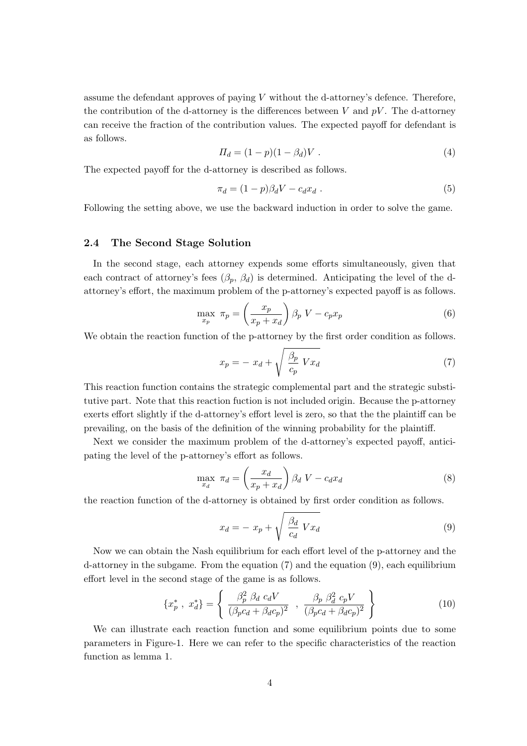assume the defendant approves of paying  $V$  without the d-attorney's defence. Therefore, the contribution of the d-attorney is the differences between  $V$  and  $pV$ . The d-attorney can receive the fraction of the contribution values. The expected payoff for defendant is as follows.

$$
\Pi_d = (1 - p)(1 - \beta_d)V \tag{4}
$$

The expected payoff for the d-attorney is described as follows.

$$
\pi_d = (1 - p)\beta_d V - c_d x_d \tag{5}
$$

Following the setting above, we use the backward induction in order to solve the game.

### 2.4 The Second Stage Solution

In the second stage, each attorney expends some efforts simultaneously, given that each contract of attorney's fees  $(\beta_p, \beta_d)$  is determined. Anticipating the level of the dattorney's effort, the maximum problem of the p-attorney's expected payoff is as follows.

$$
\max_{x_p} \pi_p = \left(\frac{x_p}{x_p + x_d}\right) \beta_p \ V - c_p x_p \tag{6}
$$

We obtain the reaction function of the p-attorney by the first order condition as follows.

$$
x_p = -x_d + \sqrt{\frac{\beta_p}{c_p} V x_d} \tag{7}
$$

This reaction function contains the strategic complemental part and the strategic substitutive part. Note that this reaction fuction is not included origin. Because the p-attorney exerts effort slightly if the d-attorney's effort level is zero, so that the the plaintiff can be prevailing, on the basis of the definition of the winning probability for the plaintiff.

Next we consider the maximum problem of the d-attorney's expected payoff, anticipating the level of the p-attorney's effort as follows.

$$
\max_{x_d} \ \pi_d = \left(\frac{x_d}{x_p + x_d}\right) \beta_d \ V - c_d x_d \tag{8}
$$

the reaction function of the d-attorney is obtained by first order condition as follows.

$$
x_d = -x_p + \sqrt{\frac{\beta_d}{c_d} V x_d} \tag{9}
$$

Now we can obtain the Nash equilibrium for each effort level of the p-attorney and the d-attorney in the subgame. From the equation (7) and the equation (9), each equilibrium effort level in the second stage of the game is as follows.

$$
\{x_p^*, x_d^*\} = \left\{ \begin{array}{c} \beta_p^2 \ \beta_d \ c_d V \\ \hline (\beta_p c_d + \beta_d c_p)^2 \end{array} , \ \frac{\beta_p \ \beta_d^2 \ c_p V}{(\beta_p c_d + \beta_d c_p)^2} \right\}
$$
(10)

We can illustrate each reaction function and some equilibrium points due to some parameters in Figure-1. Here we can refer to the specific characteristics of the reaction function as lemma 1.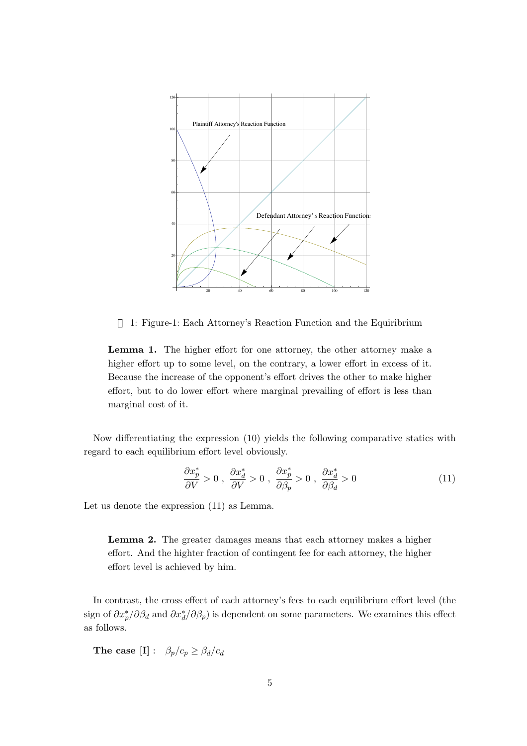

1: Figure-1: Each Attorney's Reaction Function and the Equiribrium

Lemma 1. The higher effort for one attorney, the other attorney make a higher effort up to some level, on the contrary, a lower effort in excess of it. Because the increase of the opponent's effort drives the other to make higher effort, but to do lower effort where marginal prevailing of effort is less than marginal cost of it.

Now differentiating the expression (10) yields the following comparative statics with regard to each equilibrium effort level obviously.

$$
\frac{\partial x_p^*}{\partial V} > 0 \ , \ \frac{\partial x_d^*}{\partial V} > 0 \ , \ \frac{\partial x_p^*}{\partial \beta_p} > 0 \ , \ \frac{\partial x_d^*}{\partial \beta_d} > 0 \tag{11}
$$

Let us denote the expression (11) as Lemma.

Lemma 2. The greater damages means that each attorney makes a higher effort. And the highter fraction of contingent fee for each attorney, the higher effort level is achieved by him.

In contrast, the cross effect of each attorney's fees to each equilibrium effort level (the sign of  $\partial x_p^*/\partial \beta_d$  and  $\partial x_d^*/\partial \beta_p$ ) is dependent on some parameters. We examines this effect as follows.

The case  $[I]$  :  $\beta_p/c_p \geq \beta_d/c_d$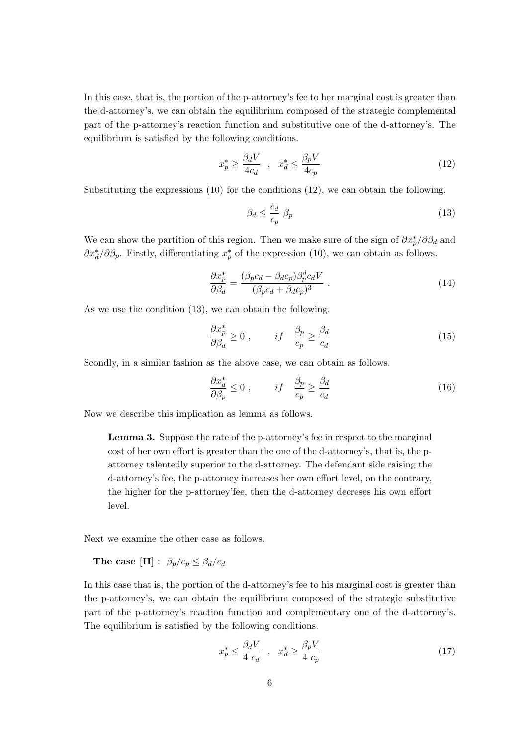In this case, that is, the portion of the p-attorney's fee to her marginal cost is greater than the d-attorney's, we can obtain the equilibrium composed of the strategic complemental part of the p-attorney's reaction function and substitutive one of the d-attorney's. The equilibrium is satisfied by the following conditions.

$$
x_p^* \ge \frac{\beta_d V}{4c_d} \quad , \quad x_d^* \le \frac{\beta_p V}{4c_p} \tag{12}
$$

Substituting the expressions (10) for the conditions (12), we can obtain the following.

$$
\beta_d \le \frac{c_d}{c_p} \ \beta_p \tag{13}
$$

We can show the partition of this region. Then we make sure of the sign of  $\partial x_p^* / \partial \beta_d$  and  $\partial x_d^* / \partial \beta_p$ . Firstly, differentiating  $x_p^*$  of the expression (10), we can obtain as follows.

$$
\frac{\partial x_p^*}{\partial \beta_d} = \frac{(\beta_p c_d - \beta_d c_p) \beta_p^d c_d V}{(\beta_p c_d + \beta_d c_p)^3} \tag{14}
$$

As we use the condition (13), we can obtain the following.

$$
\frac{\partial x_p^*}{\partial \beta_d} \ge 0 \;, \qquad if \quad \frac{\beta_p}{c_p} \ge \frac{\beta_d}{c_d} \tag{15}
$$

Scondly, in a similar fashion as the above case, we can obtain as follows.

$$
\frac{\partial x_d^*}{\partial \beta_p} \le 0 \;, \qquad if \quad \frac{\beta_p}{c_p} \ge \frac{\beta_d}{c_d} \tag{16}
$$

Now we describe this implication as lemma as follows.

Lemma 3. Suppose the rate of the p-attorney's fee in respect to the marginal cost of her own effort is greater than the one of the d-attorney's, that is, the pattorney talentedly superior to the d-attorney. The defendant side raising the d-attorney's fee, the p-attorney increases her own effort level, on the contrary, the higher for the p-attorney'fee, then the d-attorney decreses his own effort level.

Next we examine the other case as follows.

The case  $[\text{II}] : \beta_p/c_p \leq \beta_d/c_d$ 

In this case that is, the portion of the d-attorney's fee to his marginal cost is greater than the p-attorney's, we can obtain the equilibrium composed of the strategic substitutive part of the p-attorney's reaction function and complementary one of the d-attorney's. The equilibrium is satisfied by the following conditions.

$$
x_p^* \le \frac{\beta_d V}{4 c_d} \quad , \quad x_d^* \ge \frac{\beta_p V}{4 c_p} \tag{17}
$$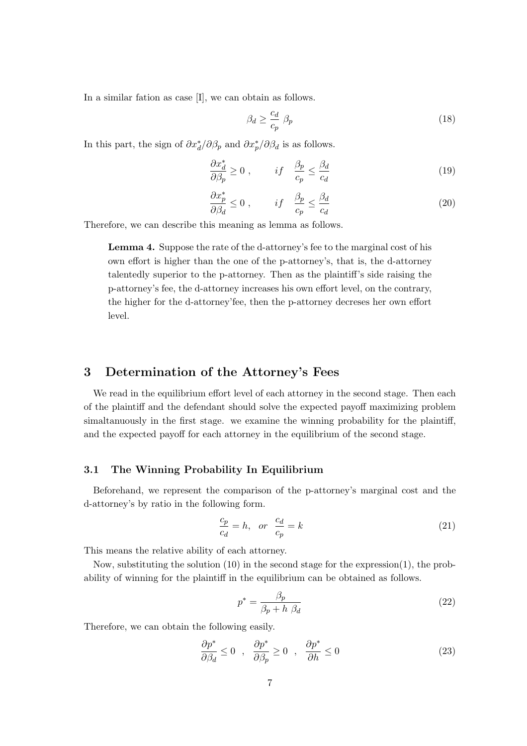In a similar fation as case [I], we can obtain as follows.

$$
\beta_d \ge \frac{c_d}{c_p} \ \beta_p \tag{18}
$$

In this part, the sign of  $\partial x_d^* / \partial \beta_p$  and  $\partial x_p^* / \partial \beta_d$  is as follows.

$$
\frac{\partial x_d^*}{\partial \beta_p} \ge 0 \;, \qquad if \quad \frac{\beta_p}{c_p} \le \frac{\beta_d}{c_d} \tag{19}
$$

$$
\frac{\partial x_p^*}{\partial \beta_d} \le 0 \;, \qquad if \quad \frac{\beta_p}{c_p} \le \frac{\beta_d}{c_d} \tag{20}
$$

Therefore, we can describe this meaning as lemma as follows.

Lemma 4. Suppose the rate of the d-attorney's fee to the marginal cost of his own effort is higher than the one of the p-attorney's, that is, the d-attorney talentedly superior to the p-attorney. Then as the plaintiff's side raising the p-attorney's fee, the d-attorney increases his own effort level, on the contrary, the higher for the d-attorney'fee, then the p-attorney decreses her own effort level.

### 3 Determination of the Attorney's Fees

We read in the equilibrium effort level of each attorney in the second stage. Then each of the plaintiff and the defendant should solve the expected payoff maximizing problem simaltanuously in the first stage. we examine the winning probability for the plaintiff, and the expected payoff for each attorney in the equilibrium of the second stage.

### 3.1 The Winning Probability In Equilibrium

Beforehand, we represent the comparison of the p-attorney's marginal cost and the d-attorney's by ratio in the following form.

$$
\frac{c_p}{c_d} = h, \quad \text{or} \quad \frac{c_d}{c_p} = k \tag{21}
$$

This means the relative ability of each attorney.

Now, substituting the solution (10) in the second stage for the expression(1), the probability of winning for the plaintiff in the equilibrium can be obtained as follows.

$$
p^* = \frac{\beta_p}{\beta_p + h \ \beta_d} \tag{22}
$$

Therefore, we can obtain the following easily.

$$
\frac{\partial p^*}{\partial \beta_d} \le 0 \quad , \quad \frac{\partial p^*}{\partial \beta_p} \ge 0 \quad , \quad \frac{\partial p^*}{\partial h} \le 0 \tag{23}
$$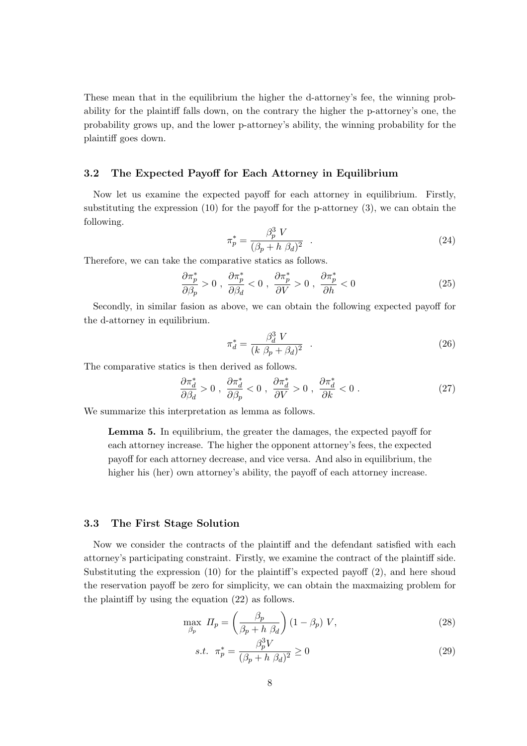These mean that in the equilibrium the higher the d-attorney's fee, the winning probability for the plaintiff falls down, on the contrary the higher the p-attorney's one, the probability grows up, and the lower p-attorney's ability, the winning probability for the plaintiff goes down.

### 3.2 The Expected Payoff for Each Attorney in Equilibrium

Now let us examine the expected payoff for each attorney in equilibrium. Firstly, substituting the expression (10) for the payoff for the p-attorney (3), we can obtain the following.

$$
\pi_p^* = \frac{\beta_p^3 V}{(\beta_p + h \beta_d)^2} \quad . \tag{24}
$$

Therefore, we can take the comparative statics as follows.

$$
\frac{\partial \pi_p^*}{\partial \beta_p} > 0 \; , \; \frac{\partial \pi_p^*}{\partial \beta_d} < 0 \; , \; \frac{\partial \pi_p^*}{\partial V} > 0 \; , \; \frac{\partial \pi_p^*}{\partial h} < 0 \tag{25}
$$

Secondly, in similar fasion as above, we can obtain the following expected payoff for the d-attorney in equilibrium.

$$
\pi_d^* = \frac{\beta_d^3 V}{(k \ \beta_p + \beta_d)^2} \quad . \tag{26}
$$

The comparative statics is then derived as follows.

$$
\frac{\partial \pi_d^*}{\partial \beta_d} > 0 \; , \; \frac{\partial \pi_d^*}{\partial \beta_p} < 0 \; , \; \frac{\partial \pi_d^*}{\partial V} > 0 \; , \; \frac{\partial \pi_d^*}{\partial k} < 0 \; . \tag{27}
$$

We summarize this interpretation as lemma as follows.

Lemma 5. In equilibrium, the greater the damages, the expected payoff for each attorney increase. The higher the opponent attorney's fees, the expected payoff for each attorney decrease, and vice versa. And also in equilibrium, the higher his (her) own attorney's ability, the payoff of each attorney increase.

### 3.3 The First Stage Solution

Now we consider the contracts of the plaintiff and the defendant satisfied with each attorney's participating constraint. Firstly, we examine the contract of the plaintiff side. Substituting the expression (10) for the plaintiff's expected payoff (2), and here shoud the reservation payoff be zero for simplicity, we can obtain the maxmaizing problem for the plaintiff by using the equation (22) as follows.

$$
\max_{\beta_p} \; \varPi_p = \left(\frac{\beta_p}{\beta_p + h \; \beta_d}\right) (1 - \beta_p) \; V,\tag{28}
$$

$$
s.t. \quad \pi_p^* = \frac{\beta_p^3 V}{(\beta_p + h \ \beta_d)^2} \ge 0 \tag{29}
$$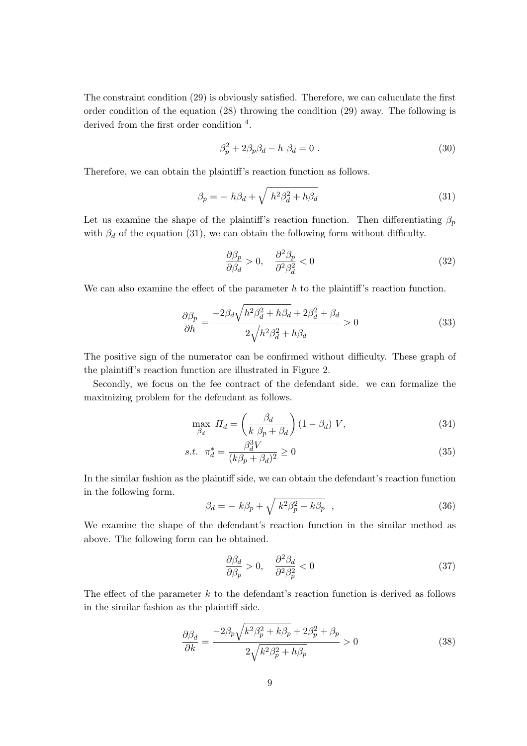The constraint condition (29) is obviously satisfied. Therefore, we can caluculate the first order condition of the equation (28) throwing the condition (29) away. The following is derived from the first order condition <sup>4</sup>.

$$
\beta_p^2 + 2\beta_p \beta_d - h \ \beta_d = 0 \ . \tag{30}
$$

Therefore, we can obtain the plaintiff's reaction function as follows.

$$
\beta_p = -h\beta_d + \sqrt{h^2\beta_d^2 + h\beta_d} \tag{31}
$$

Let us examine the shape of the plaintiff's reaction function. Then differentiating  $\beta_p$ with  $\beta_d$  of the equation (31), we can obtain the following form without difficulty.

$$
\frac{\partial \beta_p}{\partial \beta_d} > 0, \quad \frac{\partial^2 \beta_p}{\partial^2 \beta_d^2} < 0 \tag{32}
$$

We can also examine the effect of the parameter  $h$  to the plaintiff's reaction function.

$$
\frac{\partial \beta_p}{\partial h} = \frac{-2\beta_d \sqrt{h^2 \beta_d^2 + h\beta_d} + 2\beta_d^2 + \beta_d}{2\sqrt{h^2 \beta_d^2 + h\beta_d}} > 0
$$
\n(33)

The positive sign of the numerator can be confirmed without difficulty. These graph of the plaintiff's reaction function are illustrated in Figure 2.

Secondly, we focus on the fee contract of the defendant side. we can formalize the maximizing problem for the defendant as follows.

$$
\max_{\beta_d} \; \Pi_d = \left(\frac{\beta_d}{k \; \beta_p + \beta_d}\right) (1 - \beta_d) \; V,\tag{34}
$$

s.t. 
$$
\pi_d^* = \frac{\beta_d^3 V}{(k\beta_p + \beta_d)^2} \ge 0
$$
 (35)

In the similar fashion as the plaintiff side, we can obtain the defendant's reaction function in the following form.  $\sim$ 

$$
\beta_d = -k\beta_p + \sqrt{k^2\beta_p^2 + k\beta_p} \quad , \tag{36}
$$

We examine the shape of the defendant's reaction function in the similar method as above. The following form can be obtained.

$$
\frac{\partial \beta_d}{\partial \beta_p} > 0, \quad \frac{\partial^2 \beta_d}{\partial^2 \beta_p^2} < 0 \tag{37}
$$

The effect of the parameter  $k$  to the defendant's reaction function is derived as follows in the similar fashion as the plaintiff side.

$$
\frac{\partial \beta_d}{\partial k} = \frac{-2\beta_p \sqrt{k^2 \beta_p^2 + k\beta_p} + 2\beta_p^2 + \beta_p}{2\sqrt{k^2 \beta_p^2 + h\beta_p}} > 0
$$
\n(38)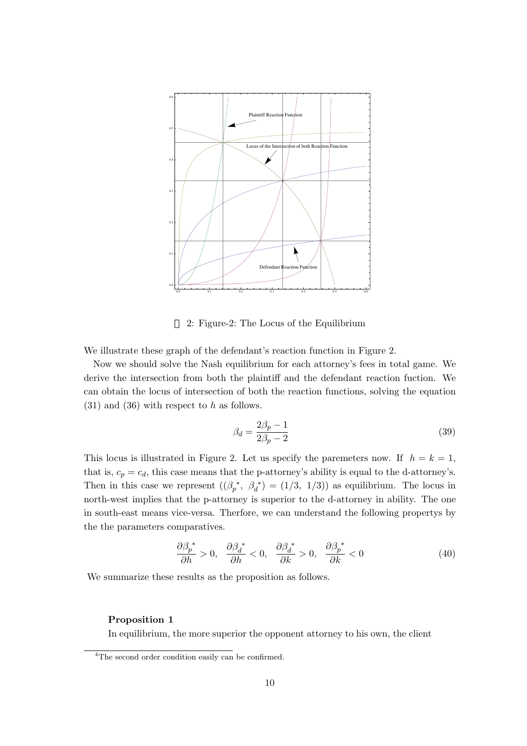

2: Figure-2: The Locus of the Equilibrium

We illustrate these graph of the defendant's reaction function in Figure 2.

Now we should solve the Nash equilibrium for each attorney's fees in total game. We derive the intersection from both the plaintiff and the defendant reaction fuction. We can obtain the locus of intersection of both the reaction functions, solving the equation  $(31)$  and  $(36)$  with respect to h as follows.

$$
\beta_d = \frac{2\beta_p - 1}{2\beta_p - 2} \tag{39}
$$

This locus is illustrated in Figure 2. Let us specify the paremeters now. If  $h = k = 1$ , that is,  $c_p = c_d$ , this case means that the p-attorney's ability is equal to the d-attorney's. Then in this case we represent  $((\beta_p^*, \beta_d^*) = (1/3, 1/3))$  as equilibrium. The locus in north-west implies that the p-attorney is superior to the d-attorney in ability. The one in south-east means vice-versa. Therfore, we can understand the following propertys by the the parameters comparatives.

$$
\frac{\partial \beta_p^*}{\partial h} > 0, \quad \frac{\partial \beta_d^*}{\partial h} < 0, \quad \frac{\partial \beta_d^*}{\partial k} > 0, \quad \frac{\partial \beta_p^*}{\partial k} < 0 \tag{40}
$$

We summarize these results as the proposition as follows.

### Proposition 1

In equilibrium, the more superior the opponent attorney to his own, the client

<sup>&</sup>lt;sup>4</sup>The second order condition easily can be confirmed.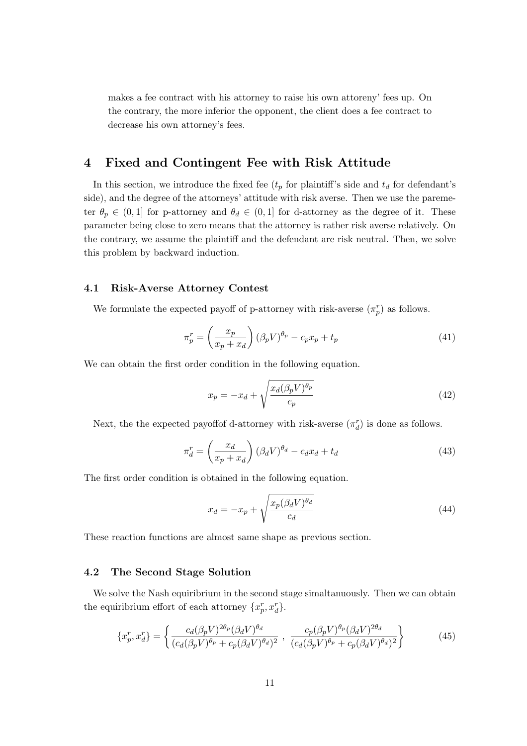makes a fee contract with his attorney to raise his own attoreny' fees up. On the contrary, the more inferior the opponent, the client does a fee contract to decrease his own attorney's fees.

# 4 Fixed and Contingent Fee with Risk Attitude

In this section, we introduce the fixed fee  $(t_p$  for plaintiff's side and  $t_d$  for defendant's side), and the degree of the attorneys' attitude with risk averse. Then we use the paremeter  $\theta_p \in (0,1]$  for p-attorney and  $\theta_d \in (0,1]$  for d-attorney as the degree of it. These parameter being close to zero means that the attorney is rather risk averse relatively. On the contrary, we assume the plaintiff and the defendant are risk neutral. Then, we solve this problem by backward induction.

### 4.1 Risk-Averse Attorney Contest

We formulate the expected payoff of p-attorney with risk-averse  $(\pi_p^r)$  as follows.

$$
\pi_p^r = \left(\frac{x_p}{x_p + x_d}\right) \left(\beta_p V\right)^{\theta_p} - c_p x_p + t_p \tag{41}
$$

We can obtain the first order condition in the following equation.

$$
x_p = -x_d + \sqrt{\frac{x_d(\beta_p V)^{\theta_p}}{c_p}}
$$
\n(42)

Next, the the expected payoff<br>of d-attorney with risk-averse  $(\pi_d^r)$  is done as follows.

$$
\pi_d^r = \left(\frac{x_d}{x_p + x_d}\right) \left(\beta_d V\right)^{\theta_d} - c_d x_d + t_d \tag{43}
$$

The first order condition is obtained in the following equation.

$$
x_d = -x_p + \sqrt{\frac{x_p(\beta_d V)^{\theta_d}}{c_d}}\tag{44}
$$

These reaction functions are almost same shape as previous section.

### 4.2 The Second Stage Solution

We solve the Nash equiribrium in the second stage simaltanuously. Then we can obtain the equiribrium effort of each attorney  $\{x_p^r, x_d^r\}$ .

$$
\{x_p^r, x_d^r\} = \left\{ \frac{c_d(\beta_p V)^{2\theta_p} (\beta_d V)^{\theta_d}}{(c_d(\beta_p V)^{\theta_p} + c_p(\beta_d V)^{\theta_d})^2}, \ \frac{c_p(\beta_p V)^{\theta_p} (\beta_d V)^{2\theta_d}}{(c_d(\beta_p V)^{\theta_p} + c_p(\beta_d V)^{\theta_d})^2} \right\}
$$
(45)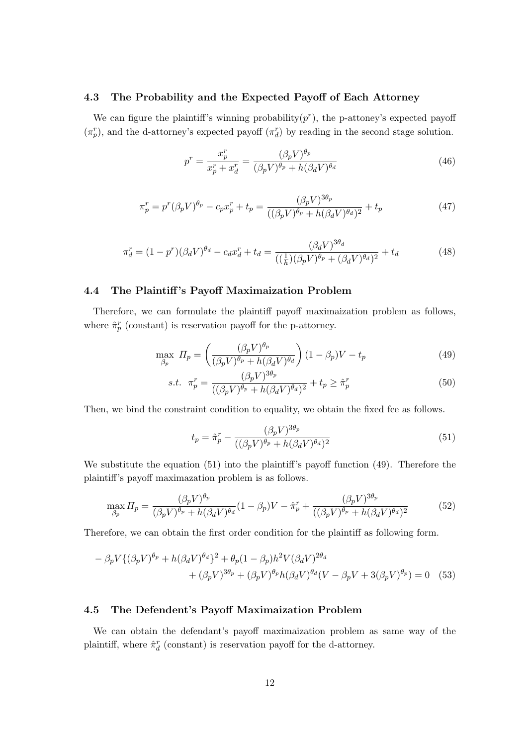### 4.3 The Probability and the Expected Payoff of Each Attorney

We can figure the plaintiff's winning probability $(p<sup>r</sup>)$ , the p-attoney's expected payoff  $(\pi_p^r)$ , and the d-attorney's expected payoff  $(\pi_d^r)$  by reading in the second stage solution.

$$
p^r = \frac{x_p^r}{x_p^r + x_d^r} = \frac{(\beta_p V)^{\theta_p}}{(\beta_p V)^{\theta_p} + h(\beta_d V)^{\theta_d}}
$$
(46)

$$
\pi_p^r = p^r (\beta_p V)^{\theta_p} - c_p x_p^r + t_p = \frac{(\beta_p V)^{3\theta_p}}{((\beta_p V)^{\theta_p} + h(\beta_d V)^{\theta_d})^2} + t_p \tag{47}
$$

$$
\pi_d^r = (1 - p^r)(\beta_d V)^{\theta_d} - c_d x_d^r + t_d = \frac{(\beta_d V)^{3\theta_d}}{((\frac{1}{h})(\beta_p V)^{\theta_p} + (\beta_d V)^{\theta_d})^2} + t_d \tag{48}
$$

### 4.4 The Plaintiff 's Payoff Maximaization Problem

Therefore, we can formulate the plaintiff payoff maximaization problem as follows, where  $\hat{\pi}_{p}^{r}$  (constant) is reservation payoff for the p-attorney.

$$
\max_{\beta_p} \; \varPi_p = \left(\frac{(\beta_p V)^{\theta_p}}{(\beta_p V)^{\theta_p} + h(\beta_d V)^{\theta_d}}\right) (1 - \beta_p) V - t_p \tag{49}
$$

s.t. 
$$
\pi_p^r = \frac{(\beta_p V)^{3\theta_p}}{((\beta_p V)^{\theta_p} + h(\beta_d V)^{\theta_d})^2} + t_p \ge \hat{\pi}_p^r
$$
 (50)

Then, we bind the constraint condition to equality, we obtain the fixed fee as follows.

$$
t_p = \hat{\pi}_p^r - \frac{(\beta_p V)^{3\theta_p}}{((\beta_p V)^{\theta_p} + h(\beta_d V)^{\theta_d})^2}
$$
\n
$$
\tag{51}
$$

We substitute the equation (51) into the plaintiff's payoff function (49). Therefore the plaintiff's payoff maximazation problem is as follows.

$$
\max_{\beta_p} \Pi_p = \frac{(\beta_p V)^{\theta_p}}{(\beta_p V)^{\theta_p} + h(\beta_d V)^{\theta_d}} (1 - \beta_p) V - \hat{\pi}_p^r + \frac{(\beta_p V)^{3\theta_p}}{((\beta_p V)^{\theta_p} + h(\beta_d V)^{\theta_d})^2}
$$
(52)

Therefore, we can obtain the first order condition for the plaintiff as following form.

$$
- \beta_p V \{ (\beta_p V)^{\theta_p} + h(\beta_d V)^{\theta_d} \}^2 + \theta_p (1 - \beta_p) h^2 V (\beta_d V)^{2\theta_d}
$$
  
+ 
$$
(\beta_p V)^{3\theta_p} + (\beta_p V)^{\theta_p} h(\beta_d V)^{\theta_d} (V - \beta_p V + 3(\beta_p V)^{\theta_p}) = 0
$$
 (53)

### 4.5 The Defendent's Payoff Maximaization Problem

We can obtain the defendant's payoff maximaization problem as same way of the plaintiff, where  $\hat{\pi}_d^r$  (constant) is reservation payoff for the d-attorney.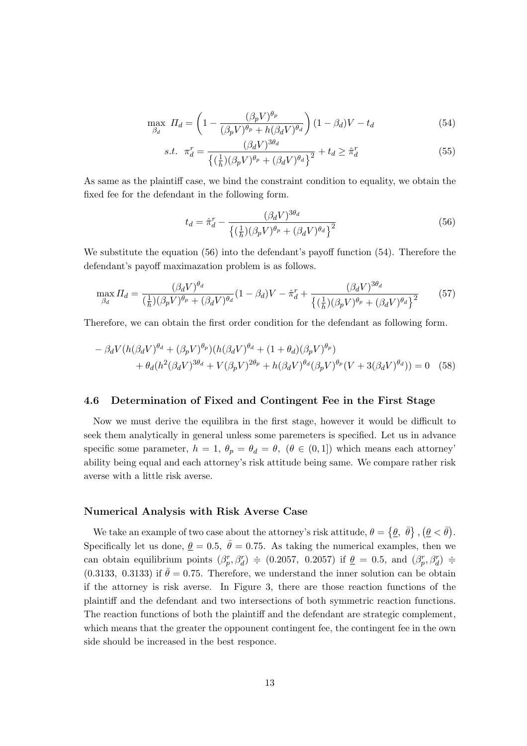$$
\max_{\beta_d} \; \Pi_d = \left( 1 - \frac{(\beta_p V)^{\theta_p}}{(\beta_p V)^{\theta_p} + h(\beta_d V)^{\theta_d}} \right) (1 - \beta_d) V - t_d \tag{54}
$$

s.t. 
$$
\pi_d^r = \frac{(\beta_d V)^{3\theta_d}}{\left\{ (\frac{1}{h})(\beta_p V)^{\theta_p} + (\beta_d V)^{\theta_d} \right\}^2} + t_d \ge \hat{\pi}_d^r
$$
 (55)

As same as the plaintiff case, we bind the constraint condition to equality, we obtain the fixed fee for the defendant in the following form.

$$
t_d = \hat{\pi}_d^r - \frac{(\beta_d V)^{3\theta_d}}{\left\{ \left(\frac{1}{h}\right)(\beta_p V)^{\theta_p} + (\beta_d V)^{\theta_d} \right\}^2} \tag{56}
$$

We substitute the equation (56) into the defendant's payoff function (54). Therefore the defendant's payoff maximazation problem is as follows.

$$
\max_{\beta_d} \Pi_d = \frac{(\beta_d V)^{\theta_d}}{(\frac{1}{h})(\beta_p V)^{\theta_p} + (\beta_d V)^{\theta_d}} (1 - \beta_d) V - \hat{\pi}_d^r + \frac{(\beta_d V)^{3\theta_d}}{\left\{(\frac{1}{h})(\beta_p V)^{\theta_p} + (\beta_d V)^{\theta_d}\right\}^2}
$$
(57)

Therefore, we can obtain the first order condition for the defendant as following form.

$$
- \beta_d V (h(\beta_d V)^{\theta_d} + (\beta_p V)^{\theta_p}) (h(\beta_d V)^{\theta_d} + (1 + \theta_d)(\beta_p V)^{\theta_p})
$$
  
+ 
$$
\theta_d (h^2 (\beta_d V)^{3\theta_d} + V(\beta_p V)^{2\theta_p} + h(\beta_d V)^{\theta_d} (\beta_p V)^{\theta_p} (V + 3(\beta_d V)^{\theta_d})) = 0
$$
 (58)

### 4.6 Determination of Fixed and Contingent Fee in the First Stage

Now we must derive the equilibra in the first stage, however it would be difficult to seek them analytically in general unless some paremeters is specified. Let us in advance specific some parameter,  $h = 1$ ,  $\theta_p = \theta_d = \theta$ ,  $(\theta \in (0, 1])$  which means each attorney' ability being equal and each attorney's risk attitude being same. We compare rather risk averse with a little risk averse.

#### Numerical Analysis with Risk Averse Case

We take an example of two case about the attorney's risk attitude,  $\theta =$  $\overline{c}$  $\theta$ ,  $\bar{\theta}$ } ,  $\left(\underline{\theta} < \bar{\theta}\right)$ . Specifically let us done,  $\theta = 0.5$ ,  $\bar{\theta} = 0.75$ . As taking the numerical examples, then we can obtain equilibrium points  $(\beta_p^r, \beta_d^r) \doteq (0.2057, 0.2057)$  if  $\underline{\theta} = 0.5$ , and  $(\beta_p^r, \beta_d^r) \doteq$ (0.3133, 0.3133) if  $\bar{\theta} = 0.75$ . Therefore, we understand the inner solution can be obtain if the attorney is risk averse. In Figure 3, there are those reaction functions of the plaintiff and the defendant and two intersections of both symmetric reaction functions. The reaction functions of both the plaintiff and the defendant are strategic complement, which means that the greater the oppounent contingent fee, the contingent fee in the own side should be increased in the best responce.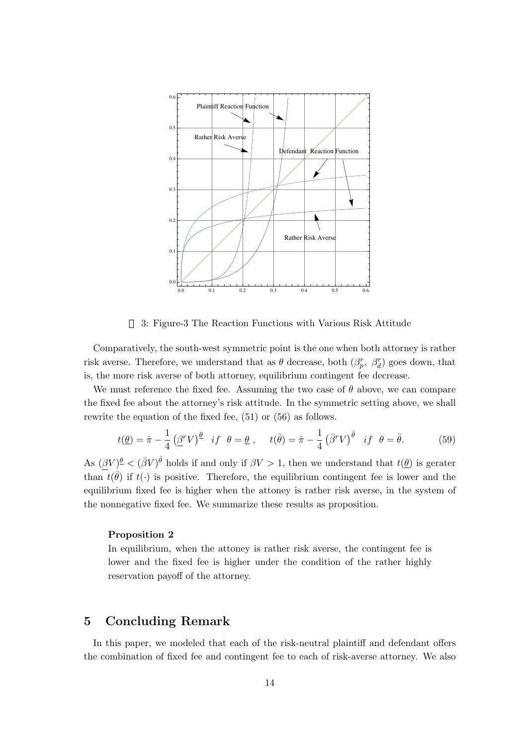

3: Figure-3 The Reaction Functions with Various Risk Attitude

Comparatively, the south-west symmetric point is the one when both attorney is rather risk averse. Therefore, we understand that as  $\theta$  decrease, both  $(\beta_p^r, \beta_d^r)$  goes down, that is, the more risk averse of both attorney, equilibrium contingent fee decrease.

We must reference the fixed fee. Assuming the two case of  $\theta$  above, we can compare the fixed fee about the attorney's risk attitude. In the symmetric setting above, we shall rewrite the equation of the fixed fee, (51) or (56) as follows.

$$
t(\underline{\theta}) = \hat{\pi} - \frac{1}{4} \left( \underline{\beta}^r V \right)^{\underline{\theta}} \quad \text{if} \quad \theta = \underline{\theta} \ , \qquad t(\bar{\theta}) = \hat{\pi} - \frac{1}{4} \left( \bar{\beta}^r V \right)^{\bar{\theta}} \quad \text{if} \quad \theta = \bar{\theta} . \tag{59}
$$

As  $(\beta V)^{\underline{\theta}} < (\bar{\beta}V)^{\bar{\theta}}$  holds if and only if  $\beta V > 1$ , then we understand that  $t(\underline{\theta})$  is gerater than  $t(\bar{\theta})$  if  $t(\cdot)$  is positive. Therefore, the equilibrium contingent fee is lower and the equilibrium fixed fee is higher when the attoney is rather risk averse, in the system of the nonnegative fixed fee. We summarize these results as proposition.

#### Proposition 2

In equilibrium, when the attoney is rather risk averse, the contingent fee is lower and the fixed fee is higher under the condition of the rather highly reservation payoff of the attorney.

# 5 Concluding Remark

In this paper, we modeled that each of the risk-neutral plaintiff and defendant offers the combination of fixed fee and contingent fee to each of risk-averse attorney. We also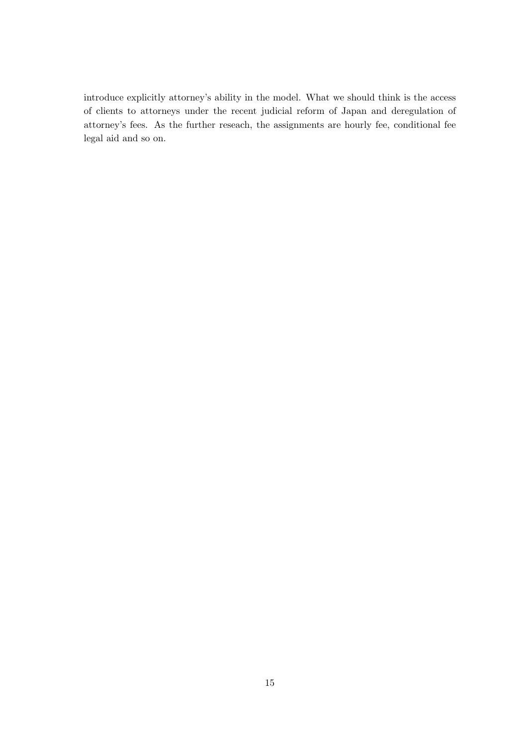introduce explicitly attorney's ability in the model. What we should think is the access of clients to attorneys under the recent judicial reform of Japan and deregulation of attorney's fees. As the further reseach, the assignments are hourly fee, conditional fee legal aid and so on.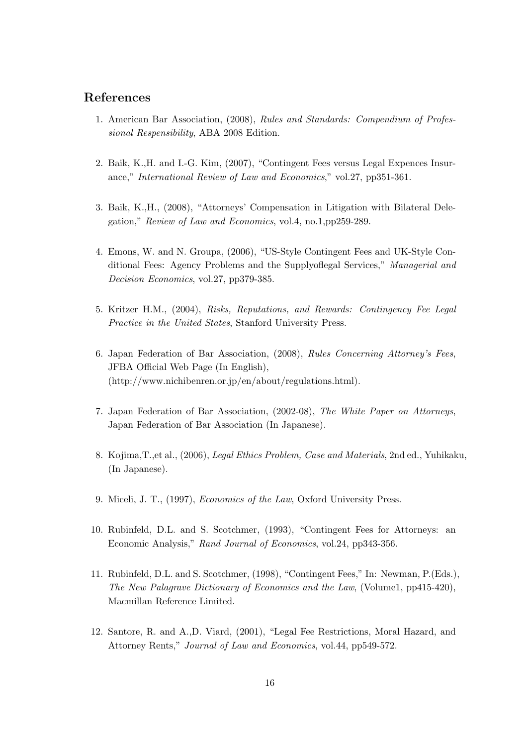## References

- 1. American Bar Association, (2008), Rules and Standards: Compendium of Professional Respensibility, ABA 2008 Edition.
- 2. Baik, K.,H. and I.-G. Kim, (2007), "Contingent Fees versus Legal Expences Insurance," International Review of Law and Economics," vol.27, pp351-361.
- 3. Baik, K.,H., (2008), "Attorneys' Compensation in Litigation with Bilateral Delegation," Review of Law and Economics, vol.4, no.1,pp259-289.
- 4. Emons, W. and N. Groupa, (2006), "US-Style Contingent Fees and UK-Style Conditional Fees: Agency Problems and the Supplyoflegal Services," Managerial and Decision Economics, vol.27, pp379-385.
- 5. Kritzer H.M., (2004), Risks, Reputations, and Rewards: Contingency Fee Legal Practice in the United States, Stanford University Press.
- 6. Japan Federation of Bar Association, (2008), Rules Concerning Attorney's Fees, JFBA Official Web Page (In English), (http://www.nichibenren.or.jp/en/about/regulations.html).
- 7. Japan Federation of Bar Association, (2002-08), The White Paper on Attorneys, Japan Federation of Bar Association (In Japanese).
- 8. Kojima,T.,et al., (2006), Legal Ethics Problem, Case and Materials, 2nd ed., Yuhikaku, (In Japanese).
- 9. Miceli, J. T., (1997), Economics of the Law, Oxford University Press.
- 10. Rubinfeld, D.L. and S. Scotchmer, (1993), "Contingent Fees for Attorneys: an Economic Analysis," Rand Journal of Economics, vol.24, pp343-356.
- 11. Rubinfeld, D.L. and S. Scotchmer, (1998), "Contingent Fees," In: Newman, P.(Eds.), The New Palagrave Dictionary of Economics and the Law, (Volume1, pp415-420), Macmillan Reference Limited.
- 12. Santore, R. and A.,D. Viard, (2001), "Legal Fee Restrictions, Moral Hazard, and Attorney Rents," Journal of Law and Economics, vol.44, pp549-572.